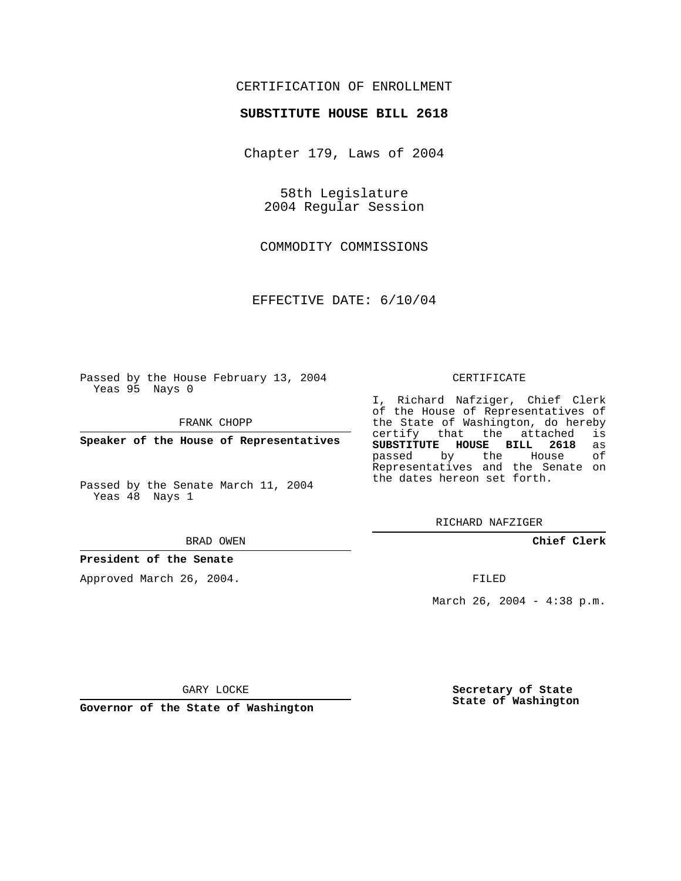### CERTIFICATION OF ENROLLMENT

### **SUBSTITUTE HOUSE BILL 2618**

Chapter 179, Laws of 2004

58th Legislature 2004 Regular Session

COMMODITY COMMISSIONS

EFFECTIVE DATE: 6/10/04

Passed by the House February 13, 2004 Yeas 95 Nays 0

FRANK CHOPP

**Speaker of the House of Representatives**

Passed by the Senate March 11, 2004 Yeas 48 Nays 1

BRAD OWEN

### **President of the Senate**

Approved March 26, 2004.

#### CERTIFICATE

I, Richard Nafziger, Chief Clerk of the House of Representatives of the State of Washington, do hereby<br>certify that the attached is certify that the attached **SUBSTITUTE HOUSE BILL 2618** as passed by the Representatives and the Senate on the dates hereon set forth.

RICHARD NAFZIGER

**Chief Clerk**

FILED

March 26, 2004 - 4:38 p.m.

GARY LOCKE

**Governor of the State of Washington**

**Secretary of State State of Washington**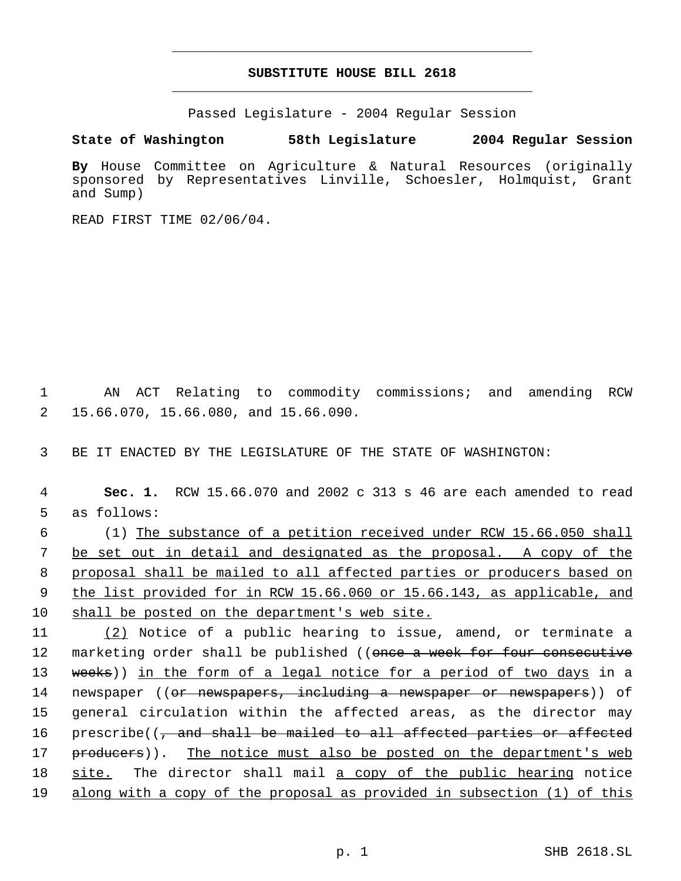## **SUBSTITUTE HOUSE BILL 2618** \_\_\_\_\_\_\_\_\_\_\_\_\_\_\_\_\_\_\_\_\_\_\_\_\_\_\_\_\_\_\_\_\_\_\_\_\_\_\_\_\_\_\_\_\_

\_\_\_\_\_\_\_\_\_\_\_\_\_\_\_\_\_\_\_\_\_\_\_\_\_\_\_\_\_\_\_\_\_\_\_\_\_\_\_\_\_\_\_\_\_

Passed Legislature - 2004 Regular Session

## **State of Washington 58th Legislature 2004 Regular Session**

**By** House Committee on Agriculture & Natural Resources (originally sponsored by Representatives Linville, Schoesler, Holmquist, Grant and Sump)

READ FIRST TIME 02/06/04.

 1 AN ACT Relating to commodity commissions; and amending RCW 2 15.66.070, 15.66.080, and 15.66.090.

3 BE IT ENACTED BY THE LEGISLATURE OF THE STATE OF WASHINGTON:

| 4  | Sec. 1. RCW 15.66.070 and 2002 c 313 s 46 are each amended to read               |
|----|----------------------------------------------------------------------------------|
| 5  | as follows:                                                                      |
| 6  | (1) The substance of a petition received under RCW 15.66.050 shall               |
| 7  | be set out in detail and designated as the proposal. A copy of the               |
| 8  | proposal shall be mailed to all affected parties or producers based on           |
| 9  | the list provided for in RCW 15.66.060 or 15.66.143, as applicable, and          |
| 10 | shall be posted on the department's web site.                                    |
| 11 | (2) Notice of a public hearing to issue, amend, or terminate a                   |
| 12 | marketing order shall be published ((once a week for four consecutive            |
| 13 | weeks)) in the form of a legal notice for a period of two days in a              |
| 14 | newspaper (( <del>or newspapers, including a newspaper or newspapers</del> )) of |
| 15 | general circulation within the affected areas, as the director may               |
| 16 | prescribe((, and shall be mailed to all affected parties or affected             |
| 17 | producers)). The notice must also be posted on the department's web              |

18 site. The director shall mail a copy of the public hearing notice 19 along with a copy of the proposal as provided in subsection (1) of this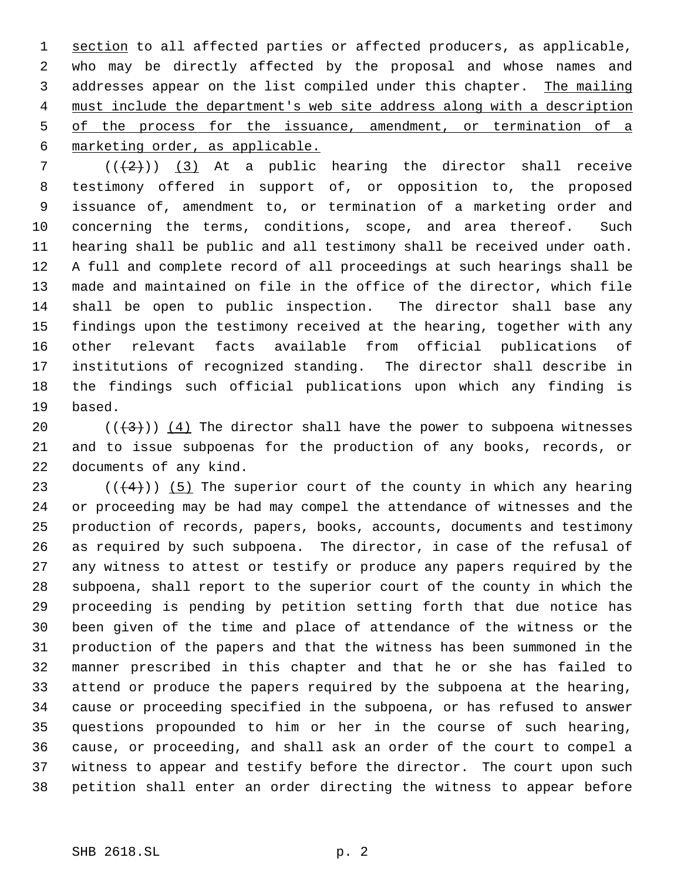1 section to all affected parties or affected producers, as applicable, who may be directly affected by the proposal and whose names and addresses appear on the list compiled under this chapter. The mailing must include the department's web site address along with a description 5 of the process for the issuance, amendment, or termination of a marketing order, as applicable.

 $((+2))$   $(3)$  At a public hearing the director shall receive testimony offered in support of, or opposition to, the proposed issuance of, amendment to, or termination of a marketing order and concerning the terms, conditions, scope, and area thereof. Such hearing shall be public and all testimony shall be received under oath. A full and complete record of all proceedings at such hearings shall be made and maintained on file in the office of the director, which file shall be open to public inspection. The director shall base any findings upon the testimony received at the hearing, together with any other relevant facts available from official publications of institutions of recognized standing. The director shall describe in the findings such official publications upon which any finding is based.

20 ( $(\langle 3 \rangle)$ ) (4) The director shall have the power to subpoena witnesses and to issue subpoenas for the production of any books, records, or documents of any kind.

23 ( $(4)$ )) (5) The superior court of the county in which any hearing or proceeding may be had may compel the attendance of witnesses and the production of records, papers, books, accounts, documents and testimony as required by such subpoena. The director, in case of the refusal of any witness to attest or testify or produce any papers required by the subpoena, shall report to the superior court of the county in which the proceeding is pending by petition setting forth that due notice has been given of the time and place of attendance of the witness or the production of the papers and that the witness has been summoned in the manner prescribed in this chapter and that he or she has failed to attend or produce the papers required by the subpoena at the hearing, cause or proceeding specified in the subpoena, or has refused to answer questions propounded to him or her in the course of such hearing, cause, or proceeding, and shall ask an order of the court to compel a witness to appear and testify before the director. The court upon such petition shall enter an order directing the witness to appear before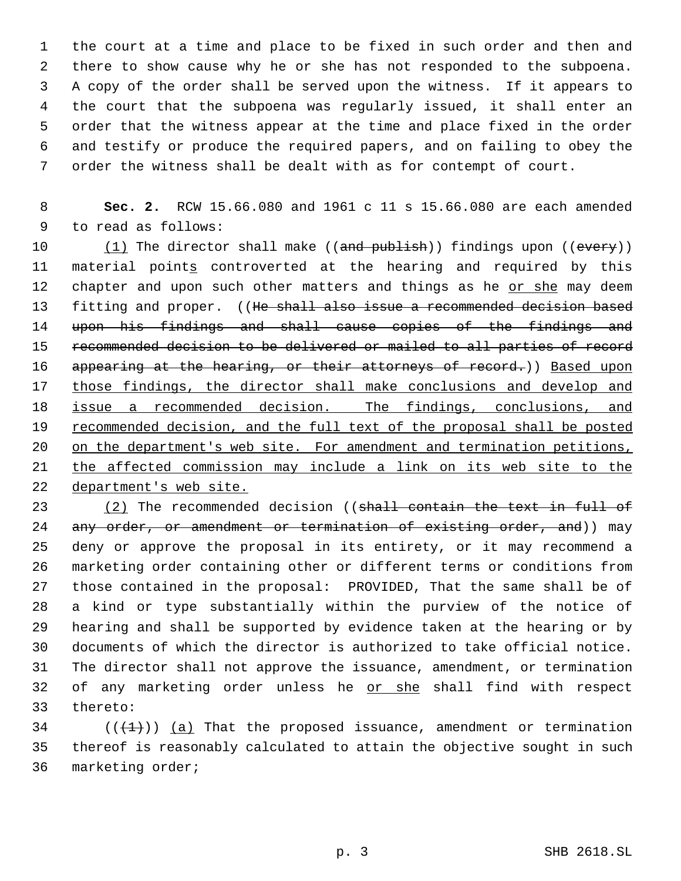the court at a time and place to be fixed in such order and then and there to show cause why he or she has not responded to the subpoena. A copy of the order shall be served upon the witness. If it appears to the court that the subpoena was regularly issued, it shall enter an order that the witness appear at the time and place fixed in the order and testify or produce the required papers, and on failing to obey the order the witness shall be dealt with as for contempt of court.

 **Sec. 2.** RCW 15.66.080 and 1961 c 11 s 15.66.080 are each amended to read as follows:

10 (1) The director shall make ((and publish)) findings upon ((every)) material points controverted at the hearing and required by this 12 chapter and upon such other matters and things as he or she may deem 13 fitting and proper. ((He shall also issue a recommended decision based upon his findings and shall cause copies of the findings and 15 recommended decision to be delivered or mailed to all parties of record 16 appearing at the hearing, or their attorneys of record.)) Based upon 17 those findings, the director shall make conclusions and develop and issue a recommended decision. The findings, conclusions, and 19 recommended decision, and the full text of the proposal shall be posted 20 on the department's web site. For amendment and termination petitions, the affected commission may include a link on its web site to the department's web site.

23 (2) The recommended decision ((shall contain the text in full of 24 any order, or amendment or termination of existing order, and)) may deny or approve the proposal in its entirety, or it may recommend a marketing order containing other or different terms or conditions from those contained in the proposal: PROVIDED, That the same shall be of a kind or type substantially within the purview of the notice of hearing and shall be supported by evidence taken at the hearing or by documents of which the director is authorized to take official notice. The director shall not approve the issuance, amendment, or termination 32 of any marketing order unless he or she shall find with respect thereto:

34  $((+1))$  (a) That the proposed issuance, amendment or termination thereof is reasonably calculated to attain the objective sought in such marketing order;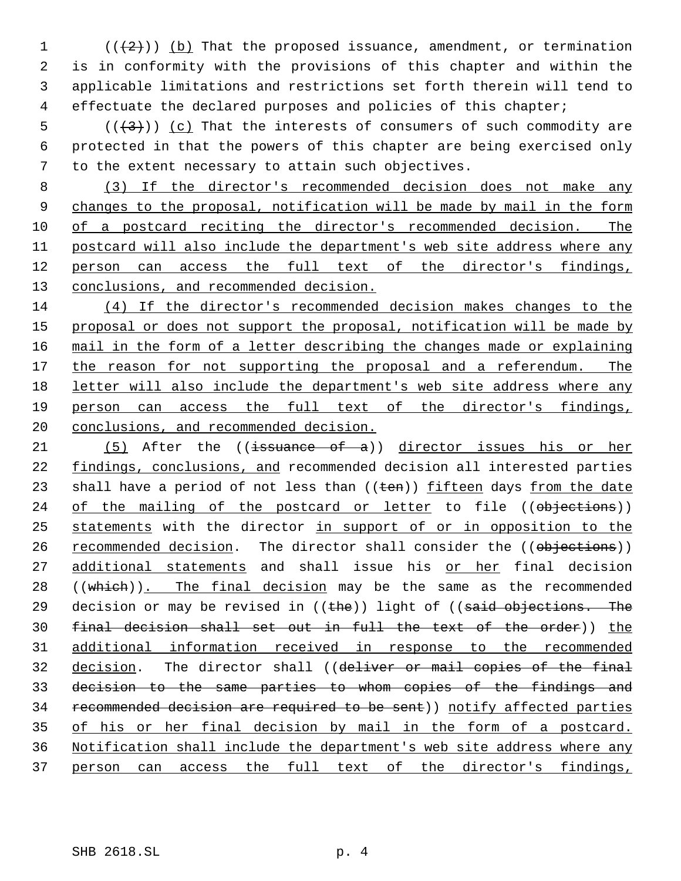$((+2))$  (b) That the proposed issuance, amendment, or termination is in conformity with the provisions of this chapter and within the applicable limitations and restrictions set forth therein will tend to effectuate the declared purposes and policies of this chapter;

5  $((+3))$   $(c)$  That the interests of consumers of such commodity are protected in that the powers of this chapter are being exercised only to the extent necessary to attain such objectives.

 (3) If the director's recommended decision does not make any 9 changes to the proposal, notification will be made by mail in the form of a postcard reciting the director's recommended decision. The 11 postcard will also include the department's web site address where any person can access the full text of the director's findings, conclusions, and recommended decision.

 (4) If the director's recommended decision makes changes to the 15 proposal or does not support the proposal, notification will be made by mail in the form of a letter describing the changes made or explaining 17 the reason for not supporting the proposal and a referendum. The letter will also include the department's web site address where any person can access the full text of the director's findings, conclusions, and recommended decision.

21 (5) After the ((issuance of a)) director issues his or her findings, conclusions, and recommended decision all interested parties 23 shall have a period of not less than  $((\text{ten}))$  fifteen days from the date 24 of the mailing of the postcard or letter to file ((objections)) statements with the director in support of or in opposition to the 26 recommended decision. The director shall consider the ((objections)) 27 additional statements and shall issue his or her final decision 28 ((which)). The final decision may be the same as the recommended 29 decision or may be revised in  $((the)$ ) light of  $((said - objections - The$ 30 final decision shall set out in full the text of the order)) the additional information received in response to the recommended decision. The director shall ((deliver or mail copies of the final decision to the same parties to whom copies of the findings and recommended decision are required to be sent)) notify affected parties of his or her final decision by mail in the form of a postcard. Notification shall include the department's web site address where any person can access the full text of the director's findings,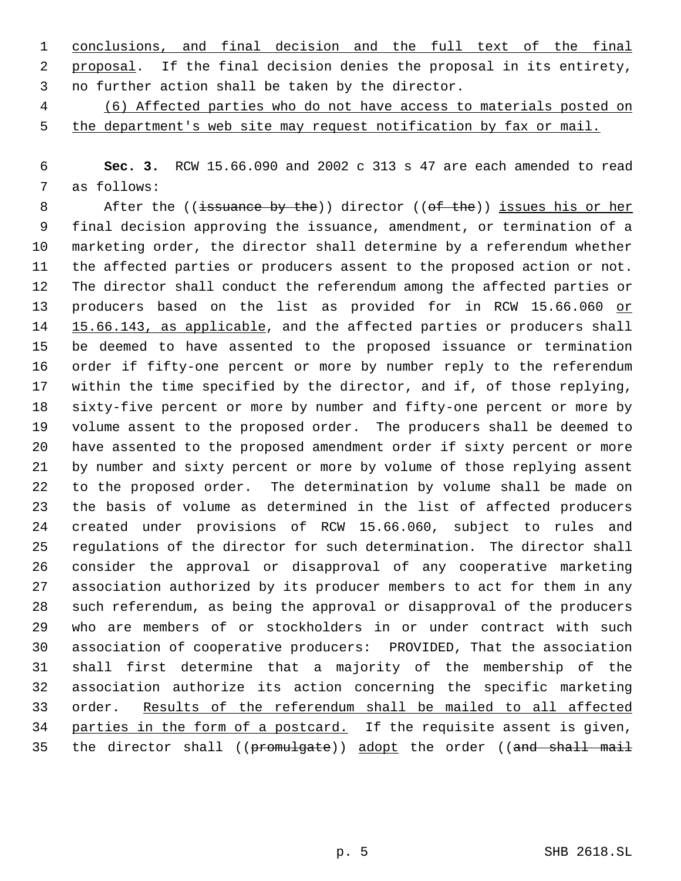conclusions, and final decision and the full text of the final proposal. If the final decision denies the proposal in its entirety, no further action shall be taken by the director.

 (6) Affected parties who do not have access to materials posted on 5 the department's web site may request notification by fax or mail.

 **Sec. 3.** RCW 15.66.090 and 2002 c 313 s 47 are each amended to read as follows:

8 After the ((issuance by the)) director ((of the)) issues his or her final decision approving the issuance, amendment, or termination of a marketing order, the director shall determine by a referendum whether the affected parties or producers assent to the proposed action or not. The director shall conduct the referendum among the affected parties or producers based on the list as provided for in RCW 15.66.060 or 14 15.66.143, as applicable, and the affected parties or producers shall be deemed to have assented to the proposed issuance or termination order if fifty-one percent or more by number reply to the referendum within the time specified by the director, and if, of those replying, sixty-five percent or more by number and fifty-one percent or more by volume assent to the proposed order. The producers shall be deemed to have assented to the proposed amendment order if sixty percent or more by number and sixty percent or more by volume of those replying assent to the proposed order. The determination by volume shall be made on the basis of volume as determined in the list of affected producers created under provisions of RCW 15.66.060, subject to rules and regulations of the director for such determination. The director shall consider the approval or disapproval of any cooperative marketing association authorized by its producer members to act for them in any such referendum, as being the approval or disapproval of the producers who are members of or stockholders in or under contract with such association of cooperative producers: PROVIDED, That the association shall first determine that a majority of the membership of the association authorize its action concerning the specific marketing order. Results of the referendum shall be mailed to all affected 34 parties in the form of a postcard. If the requisite assent is given, 35 the director shall ((promulgate)) adopt the order ((and shall mail